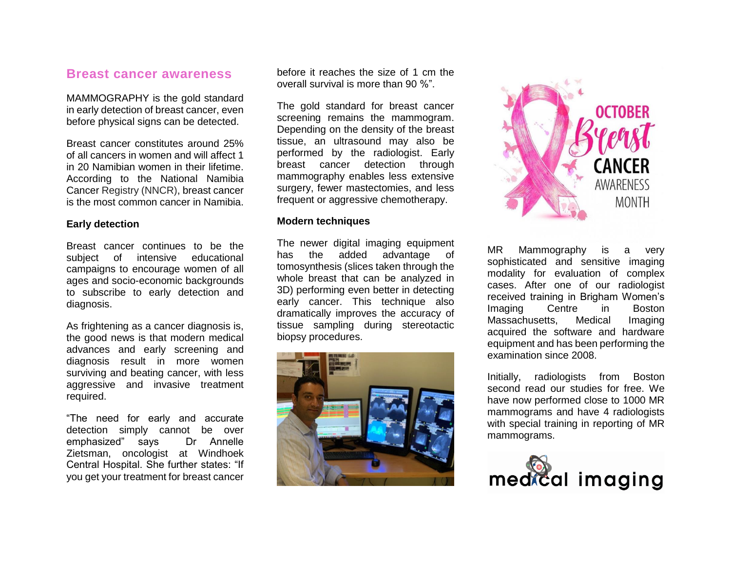# **Breast cancer awareness**

MAMMOGRAPHY is the gold standard in early detection of breast cancer, even before physical signs can be detected.

Breast cancer constitutes around 25% of all cancers in women and will affect 1 in 20 Namibian women in their lifetime. According to the National Namibia Cancer Registry (NNCR), breast cancer is the most common cancer in Namibia.

### **Early detection**

Breast cancer continues to be the subject of intensive educational campaigns to encourage women of all ages and socio-economic backgrounds to subscribe to early detection and diagnosis.

As frightening as a cancer diagnosis is, the good news is that modern medical advances and early screening and diagnosis result in more women surviving and beating cancer, with less aggressive and invasive treatment required.

"The need for early and accurate detection simply cannot be over emphasized" says Dr Annelle Zietsman, oncologist at Windhoek Central Hospital. She further states: "If you get your treatment for breast cancer

before it reaches the size of 1 cm the overall survival is more than 90 %".

The gold standard for breast cancer screening remains the mammogram. Depending on the density of the breast tissue, an ultrasound may also be performed by the radiologist. Early breast cancer detection through mammography enables less extensive surgery, fewer mastectomies, and less frequent or aggressive chemotherapy.

#### **Modern techniques**

The newer digital imaging equipment has the added advantage of tomosynthesis (slices taken through the whole breast that can be analyzed in 3D) performing even better in detecting early cancer. This technique also dramatically improves the accuracy of tissue sampling during stereotactic biopsy procedures.





MR Mammography is a very sophisticated and sensitive imaging modality for evaluation of complex cases. After one of our radiologist received training in Brigham Women's Imaging Centre in Boston Massachusetts, Medical Imaging acquired the software and hardware equipment and has been performing the examination since 2008.

Initially, radiologists from Boston second read our studies for free. We have now performed close to 1000 MR mammograms and have 4 radiologists with special training in reporting of MR mammograms.